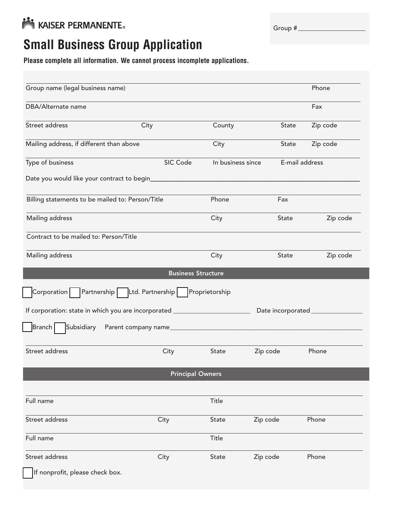

| Group # |
|---------|
|---------|

## **Small Business Group Application**

**Please complete all information. We cannot process incomplete applications.**

| Group name (legal business name)                                                                       |                           |                   |                | Phone    |
|--------------------------------------------------------------------------------------------------------|---------------------------|-------------------|----------------|----------|
| DBA/Alternate name                                                                                     |                           |                   |                | Fax      |
| Street address                                                                                         | City                      | County            | State          | Zip code |
| Mailing address, if different than above                                                               |                           | City              | State          | Zip code |
| Type of business                                                                                       | SIC Code                  | In business since | E-mail address |          |
| Date you would like your contract to begin_                                                            |                           |                   |                |          |
| Billing statements to be mailed to: Person/Title                                                       |                           | Phone             | Fax            |          |
| Mailing address                                                                                        |                           | City              | State          | Zip code |
| Contract to be mailed to: Person/Title                                                                 |                           |                   |                |          |
| Mailing address                                                                                        |                           | City              | State          | Zip code |
|                                                                                                        | <b>Business Structure</b> |                   |                |          |
| Partnership Ltd. Partnership<br>Corporation                                                            |                           | Proprietorship    |                |          |
| If corporation: state in which you are incorporated ____________________________<br>Date incorporated_ |                           |                   |                |          |
| Subsidiary<br><b>Branch</b>                                                                            | Parent company name       |                   |                |          |
| Street address                                                                                         | City                      | State             | Zip code       | Phone    |
|                                                                                                        | <b>Principal Owners</b>   |                   |                |          |
|                                                                                                        |                           |                   |                |          |
| Full name                                                                                              |                           | Title             |                |          |
| Street address                                                                                         | City                      | State             | Zip code       | Phone    |
| Full name                                                                                              |                           | Title             |                |          |
| Street address                                                                                         | City                      | State             | Zip code       | Phone    |
| If nonprofit, please check box.                                                                        |                           |                   |                |          |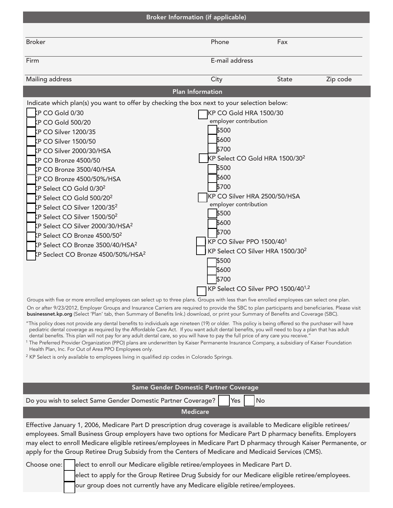|                                                                                                                                                                                                                                                                                                                                                                                                                                                                                                                                                                                                                                                                                                                                                                                | <b>Broker Information (if applicable)</b>                                                                                                                                                                                     |                                                                                                                            |          |
|--------------------------------------------------------------------------------------------------------------------------------------------------------------------------------------------------------------------------------------------------------------------------------------------------------------------------------------------------------------------------------------------------------------------------------------------------------------------------------------------------------------------------------------------------------------------------------------------------------------------------------------------------------------------------------------------------------------------------------------------------------------------------------|-------------------------------------------------------------------------------------------------------------------------------------------------------------------------------------------------------------------------------|----------------------------------------------------------------------------------------------------------------------------|----------|
|                                                                                                                                                                                                                                                                                                                                                                                                                                                                                                                                                                                                                                                                                                                                                                                |                                                                                                                                                                                                                               |                                                                                                                            |          |
| <b>Broker</b>                                                                                                                                                                                                                                                                                                                                                                                                                                                                                                                                                                                                                                                                                                                                                                  | Phone                                                                                                                                                                                                                         | Fax                                                                                                                        |          |
| Firm                                                                                                                                                                                                                                                                                                                                                                                                                                                                                                                                                                                                                                                                                                                                                                           | E-mail address                                                                                                                                                                                                                |                                                                                                                            |          |
| Mailing address                                                                                                                                                                                                                                                                                                                                                                                                                                                                                                                                                                                                                                                                                                                                                                | City                                                                                                                                                                                                                          | <b>State</b>                                                                                                               | Zip code |
|                                                                                                                                                                                                                                                                                                                                                                                                                                                                                                                                                                                                                                                                                                                                                                                | <b>Plan Information</b>                                                                                                                                                                                                       |                                                                                                                            |          |
| Indicate which plan(s) you want to offer by checking the box next to your selection below:<br>KP CO Gold 0/30<br><b>KP CO Gold 500/20</b><br>KP CO Silver 1200/35<br>KP CO Silver 1500/50<br>KP CO Silver 2000/30/HSA<br>KP CO Bronze 4500/50<br>KP CO Bronze 3500/40/HSA<br>KP CO Bronze 4500/50%/HSA<br>KP Select CO Gold 0/30 <sup>2</sup><br>KP Select CO Gold 500/20 <sup>2</sup><br>KP Select CO Silver 1200/35 <sup>2</sup><br>$\mathsf{k}\mathsf{P}$ Select CO Silver 1500/50 $^2$<br>KP Select CO Silver 2000/30/HSA <sup>2</sup><br>KP Select CO Bronze 4500/50 <sup>2</sup><br>KP Select CO Bronze 3500/40/HSA <sup>2</sup><br>KP Seclect CO Bronze 4500/50%/HSA <sup>2</sup>                                                                                       | KP CO Gold HRA 1500/30<br>employer contribution<br>\$500<br>\$600<br>\$700<br>\$500<br>\$600<br>\$700<br>employer contribution<br>\$500<br>\$600<br>\$700<br>KP CO Silver PPO 1500/40 <sup>1</sup><br>\$500<br>\$600<br>\$700 | KP Select CO Gold HRA 1500/30 <sup>2</sup><br>KP CO Silver HRA 2500/50/HSA<br>KP Select CO Silver HRA 1500/30 <sup>2</sup> |          |
| Groups with five or more enrolled employees can select up to three plans. Groups with less than five enrolled employees can select one plan.<br>On or after 9/23/2012, Employer Groups and Insurance Carriers are required to provide the SBC to plan participants and beneficiaries. Please visit<br><b>businessnet.kp.org</b> (Select 'Plan' tab, then Summary of Benefits link.) download, or print your Summary of Benefits and Coverage (SBC).                                                                                                                                                                                                                                                                                                                            |                                                                                                                                                                                                                               | KP Select CO Silver PPO 1500/40 <sup>1,2</sup>                                                                             |          |
| "This policy does not provide any dental benefits to individuals age nineteen (19) or older. This policy is being offered so the purchaser will have<br>pediatric dental coverage as required by the Affordable Care Act. If you want adult dental benefits, you will need to buy a plan that has adult<br>dental benefits. This plan will not pay for any adult dental care, so you will have to pay the full price of any care you receive."<br><sup>1</sup> The Preferred Provider Organization (PPO) plans are underwritten by Kaiser Permanente Insurance Company, a subsidiary of Kaiser Foundation<br>Health Plan, Inc. For Out of Area PPO Employees only.<br><sup>2</sup> KP Select is only available to employees living in qualified zip codes in Colorado Springs. |                                                                                                                                                                                                                               |                                                                                                                            |          |

| Same Gender Domestic Partner Coverage                                                                                                                                                                                                                                                                                                                                                                                                                        |  |
|--------------------------------------------------------------------------------------------------------------------------------------------------------------------------------------------------------------------------------------------------------------------------------------------------------------------------------------------------------------------------------------------------------------------------------------------------------------|--|
| Do you wish to select Same Gender Domestic Partner Coverage?<br>Yes<br><b>No</b>                                                                                                                                                                                                                                                                                                                                                                             |  |
| <b>Medicare</b>                                                                                                                                                                                                                                                                                                                                                                                                                                              |  |
| Effective January 1, 2006, Medicare Part D prescription drug coverage is available to Medicare eligible retirees/<br>employees. Small Business Group employers have two options for Medicare Part D pharmacy benefits. Employers<br>may elect to enroll Medicare eligible retirees/employees in Medicare Part D pharmacy through Kaiser Permanente, or<br>apply for the Group Retiree Drug Subsidy from the Centers of Medicare and Medicaid Services (CMS). |  |
| Choose one: elect to enroll our Medicare eligible retiree/employees in Medicare Part D.<br>$\mathsf{H}(\mathsf{G})$ . If $\mathsf{H}(\mathsf{G})$ is parameter $\mathsf{G}(\mathsf{H}^{\mathsf{G}})$ . In the set of $\mathsf{H}(\mathsf{H}^{\mathsf{G}})$ is a set of $\mathsf{H}(\mathsf{H}^{\mathsf{G}})$ is a set of $\mathsf{H}^{\mathsf{G}}$                                                                                                           |  |

elect to apply for the Group Retiree Drug Subsidy for our Medicare eligible retiree/employees. our group does not currently have any Medicare eligible retiree/employees.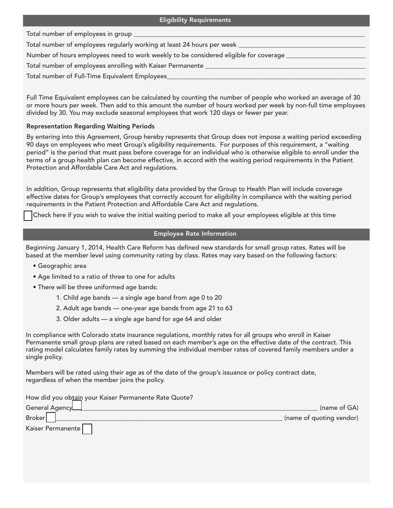Total number of employees in group \_

Total number of employees regularly working at least 24 hours per week

Number of hours employees need to work weekly to be considered eligible for coverage

Total number of employees enrolling with Kaiser Permanente

Total number of Full-Time Equivalent Employees

Full Time Equivalent employees can be calculated by counting the number of people who worked an average of 30 or more hours per week. Then add to this amount the number of hours worked per week by non-full time employees divided by 30. You may exclude seasonal employees that work 120 days or fewer per year.

## Representation Regarding Waiting Periods

By entering into this Agreement, Group hereby represents that Group does not impose a waiting period exceeding 90 days on employees who meet Group's eligibility requirements. For purposes of this requirement, a "waiting period" is the period that must pass before coverage for an individual who is otherwise eligible to enroll under the terms of a group health plan can become effective, in accord with the waiting period requirements in the Patient Protection and Affordable Care Act and regulations.

In addition, Group represents that eligibility data provided by the Group to Health Plan will include coverage effective dates for Group's employees that correctly account for eligibility in compliance with the waiting period requirements in the Patient Protection and Affordable Care Act and regulations.

Check here if you wish to waive the initial waiting period to make all your employees eligible at this time

## Employee Rate Information

Beginning January 1, 2014, Health Care Reform has defined new standards for small group rates. Rates will be based at the member level using community rating by class. Rates may vary based on the following factors:

- Geographic area
- Age limited to a ratio of three to one for adults
- There will be three uniformed age bands:
	- 1. Child age bands a single age band from age 0 to 20
	- 2. Adult age bands one-year age bands from age 21 to 63
	- 3. Older adults a single age band for age 64 and older

In compliance with Colorado state insurance regulations, monthly rates for all groups who enroll in Kaiser Permanente small group plans are rated based on each member's age on the effective date of the contract. This rating model calculates family rates by summing the individual member rates of covered family members under a single policy.

Members will be rated using their age as of the date of the group's issuance or policy contract date, regardless of when the member joins the policy.

How did you obtain your Kaiser Permanente Rate Quote?

| General Agency    | (name of GA)             |
|-------------------|--------------------------|
| <b>Broker</b>     | (name of quoting vendor) |
| Kaiser Permanente |                          |